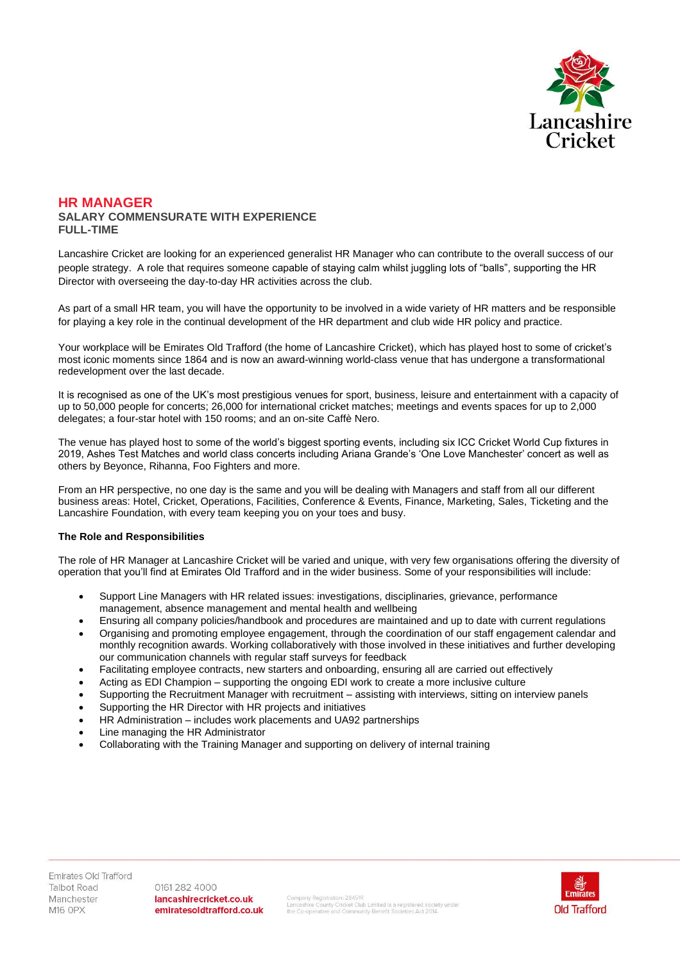

### **HR MANAGER SALARY COMMENSURATE WITH EXPERIENCE FULL-TIME**

Lancashire Cricket are looking for an experienced generalist HR Manager who can contribute to the overall success of our people strategy. A role that requires someone capable of staying calm whilst juggling lots of "balls", supporting the HR Director with overseeing the day-to-day HR activities across the club.

As part of a small HR team, you will have the opportunity to be involved in a wide variety of HR matters and be responsible for playing a key role in the continual development of the HR department and club wide HR policy and practice.

Your workplace will be Emirates Old Trafford (the home of Lancashire Cricket), which has played host to some of cricket's most iconic moments since 1864 and is now an award-winning world-class venue that has undergone a transformational redevelopment over the last decade.

It is recognised as one of the UK's most prestigious venues for sport, business, leisure and entertainment with a capacity of up to 50,000 people for concerts; 26,000 for international cricket matches; meetings and events spaces for up to 2,000 delegates; a four-star hotel with 150 rooms; and an on-site Caffè Nero.

The venue has played host to some of the world's biggest sporting events, including six ICC Cricket World Cup fixtures in 2019, Ashes Test Matches and world class concerts including Ariana Grande's 'One Love Manchester' concert as well as others by Beyonce, Rihanna, Foo Fighters and more.

From an HR perspective, no one day is the same and you will be dealing with Managers and staff from all our different business areas: Hotel, Cricket, Operations, Facilities, Conference & Events, Finance, Marketing, Sales, Ticketing and the Lancashire Foundation, with every team keeping you on your toes and busy.

# **The Role and Responsibilities**

The role of HR Manager at Lancashire Cricket will be varied and unique, with very few organisations offering the diversity of operation that you'll find at Emirates Old Trafford and in the wider business. Some of your responsibilities will include:

- Support Line Managers with HR related issues: investigations, disciplinaries, grievance, performance management, absence management and mental health and wellbeing
- Ensuring all company policies/handbook and procedures are maintained and up to date with current regulations
- Organising and promoting employee engagement, through the coordination of our staff engagement calendar and monthly recognition awards. Working collaboratively with those involved in these initiatives and further developing our communication channels with regular staff surveys for feedback
- Facilitating employee contracts, new starters and onboarding, ensuring all are carried out effectively
- Acting as EDI Champion supporting the ongoing EDI work to create a more inclusive culture
- Supporting the Recruitment Manager with recruitment assisting with interviews, sitting on interview panels
- Supporting the HR Director with HR projects and initiatives
- HR Administration includes work placements and UA92 partnerships
- Line managing the HR Administrator
- Collaborating with the Training Manager and supporting on delivery of internal training

Emirates Old Trafford Talbot Road Manchester **M16 OPX** 

0161 282 4000 lancashirecricket.co.uk emiratesoldtrafford.co.uk

.<br>Company Registration: 28451R<br>the Co-operative and Community Benefit Societies Act 2014.